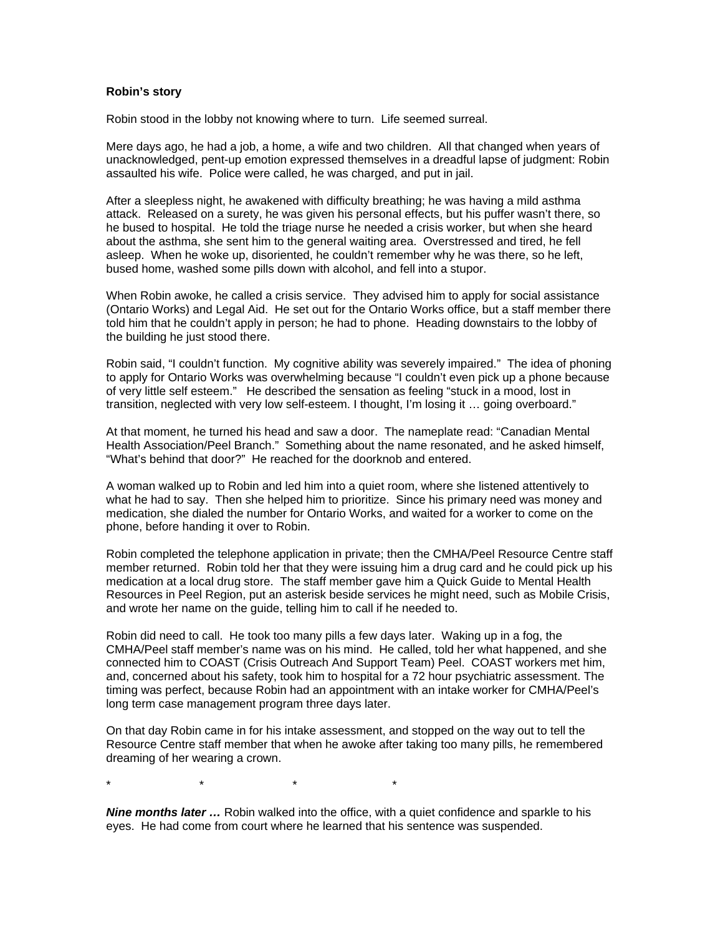## **Robin's story**

Robin stood in the lobby not knowing where to turn. Life seemed surreal.

Mere days ago, he had a job, a home, a wife and two children. All that changed when years of unacknowledged, pent-up emotion expressed themselves in a dreadful lapse of judgment: Robin assaulted his wife. Police were called, he was charged, and put in jail.

After a sleepless night, he awakened with difficulty breathing; he was having a mild asthma attack. Released on a surety, he was given his personal effects, but his puffer wasn't there, so he bused to hospital. He told the triage nurse he needed a crisis worker, but when she heard about the asthma, she sent him to the general waiting area. Overstressed and tired, he fell asleep. When he woke up, disoriented, he couldn't remember why he was there, so he left, bused home, washed some pills down with alcohol, and fell into a stupor.

When Robin awoke, he called a crisis service. They advised him to apply for social assistance (Ontario Works) and Legal Aid. He set out for the Ontario Works office, but a staff member there told him that he couldn't apply in person; he had to phone. Heading downstairs to the lobby of the building he just stood there.

Robin said, "I couldn't function. My cognitive ability was severely impaired." The idea of phoning to apply for Ontario Works was overwhelming because "I couldn't even pick up a phone because of very little self esteem." He described the sensation as feeling "stuck in a mood, lost in transition, neglected with very low self-esteem. I thought, I'm losing it … going overboard."

At that moment, he turned his head and saw a door. The nameplate read: "Canadian Mental Health Association/Peel Branch." Something about the name resonated, and he asked himself, "What's behind that door?" He reached for the doorknob and entered.

A woman walked up to Robin and led him into a quiet room, where she listened attentively to what he had to say. Then she helped him to prioritize. Since his primary need was money and medication, she dialed the number for Ontario Works, and waited for a worker to come on the phone, before handing it over to Robin.

Robin completed the telephone application in private; then the CMHA/Peel Resource Centre staff member returned. Robin told her that they were issuing him a drug card and he could pick up his medication at a local drug store. The staff member gave him a Quick Guide to Mental Health Resources in Peel Region, put an asterisk beside services he might need, such as Mobile Crisis, and wrote her name on the guide, telling him to call if he needed to.

Robin did need to call. He took too many pills a few days later. Waking up in a fog, the CMHA/Peel staff member's name was on his mind. He called, told her what happened, and she connected him to COAST (Crisis Outreach And Support Team) Peel. COAST workers met him, and, concerned about his safety, took him to hospital for a 72 hour psychiatric assessment. The timing was perfect, because Robin had an appointment with an intake worker for CMHA/Peel's long term case management program three days later.

On that day Robin came in for his intake assessment, and stopped on the way out to tell the Resource Centre staff member that when he awoke after taking too many pills, he remembered dreaming of her wearing a crown.

\* \* \* \*

*Nine months later ...* Robin walked into the office, with a quiet confidence and sparkle to his eyes. He had come from court where he learned that his sentence was suspended.